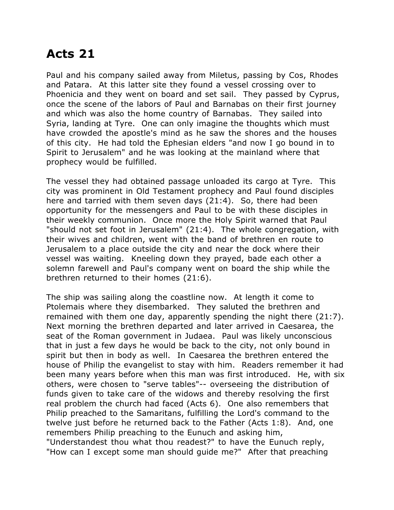## **Acts 21**

Paul and his company sailed away from Miletus, passing by Cos, Rhodes and Patara. At this latter site they found a vessel crossing over to Phoenicia and they went on board and set sail. They passed by Cyprus, once the scene of the labors of Paul and Barnabas on their first journey and which was also the home country of Barnabas. They sailed into Syria, landing at Tyre. One can only imagine the thoughts which must have crowded the apostle's mind as he saw the shores and the houses of this city. He had told the Ephesian elders "and now I go bound in to Spirit to Jerusalem" and he was looking at the mainland where that prophecy would be fulfilled.

The vessel they had obtained passage unloaded its cargo at Tyre. This city was prominent in Old Testament prophecy and Paul found disciples here and tarried with them seven days (21:4). So, there had been opportunity for the messengers and Paul to be with these disciples in their weekly communion. Once more the Holy Spirit warned that Paul "should not set foot in Jerusalem" (21:4). The whole congregation, with their wives and children, went with the band of brethren en route to Jerusalem to a place outside the city and near the dock where their vessel was waiting. Kneeling down they prayed, bade each other a solemn farewell and Paul's company went on board the ship while the brethren returned to their homes (21:6).

The ship was sailing along the coastline now. At length it come to Ptolemais where they disembarked. They saluted the brethren and remained with them one day, apparently spending the night there (21:7). Next morning the brethren departed and later arrived in Caesarea, the seat of the Roman government in Judaea. Paul was likely unconscious that in just a few days he would be back to the city, not only bound in spirit but then in body as well. In Caesarea the brethren entered the house of Philip the evangelist to stay with him. Readers remember it had been many years before when this man was first introduced. He, with six others, were chosen to "serve tables"-- overseeing the distribution of funds given to take care of the widows and thereby resolving the first real problem the church had faced (Acts 6). One also remembers that Philip preached to the Samaritans, fulfilling the Lord's command to the twelve just before he returned back to the Father (Acts 1:8). And, one remembers Philip preaching to the Eunuch and asking him, "Understandest thou what thou readest?" to have the Eunuch reply, "How can I except some man should guide me?" After that preaching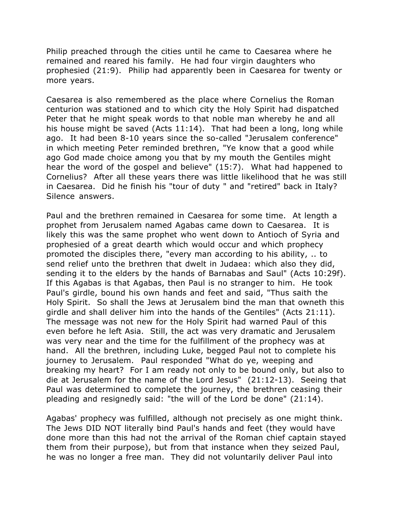Philip preached through the cities until he came to Caesarea where he remained and reared his family. He had four virgin daughters who prophesied (21:9). Philip had apparently been in Caesarea for twenty or more years.

Caesarea is also remembered as the place where Cornelius the Roman centurion was stationed and to which city the Holy Spirit had dispatched Peter that he might speak words to that noble man whereby he and all his house might be saved (Acts 11:14). That had been a long, long while ago. It had been 8-10 years since the so-called "Jerusalem conference" in which meeting Peter reminded brethren, "Ye know that a good while ago God made choice among you that by my mouth the Gentiles might hear the word of the gospel and believe" (15:7). What had happened to Cornelius? After all these years there was little likelihood that he was still in Caesarea. Did he finish his "tour of duty " and "retired" back in Italy? Silence answers.

Paul and the brethren remained in Caesarea for some time. At length a prophet from Jerusalem named Agabas came down to Caesarea. It is likely this was the same prophet who went down to Antioch of Syria and prophesied of a great dearth which would occur and which prophecy promoted the disciples there, "every man according to his ability, .. to send relief unto the brethren that dwelt in Judaea: which also they did, sending it to the elders by the hands of Barnabas and Saul" (Acts 10:29f). If this Agabas is that Agabas, then Paul is no stranger to him. He took Paul's girdle, bound his own hands and feet and said, "Thus saith the Holy Spirit. So shall the Jews at Jerusalem bind the man that owneth this girdle and shall deliver him into the hands of the Gentiles" (Acts 21:11). The message was not new for the Holy Spirit had warned Paul of this even before he left Asia. Still, the act was very dramatic and Jerusalem was very near and the time for the fulfillment of the prophecy was at hand. All the brethren, including Luke, begged Paul not to complete his journey to Jerusalem. Paul responded "What do ye, weeping and breaking my heart? For I am ready not only to be bound only, but also to die at Jerusalem for the name of the Lord Jesus" (21:12-13). Seeing that Paul was determined to complete the journey, the brethren ceasing their pleading and resignedly said: "the will of the Lord be done" (21:14).

Agabas' prophecy was fulfilled, although not precisely as one might think. The Jews DID NOT literally bind Paul's hands and feet (they would have done more than this had not the arrival of the Roman chief captain stayed them from their purpose), but from that instance when they seized Paul, he was no longer a free man. They did not voluntarily deliver Paul into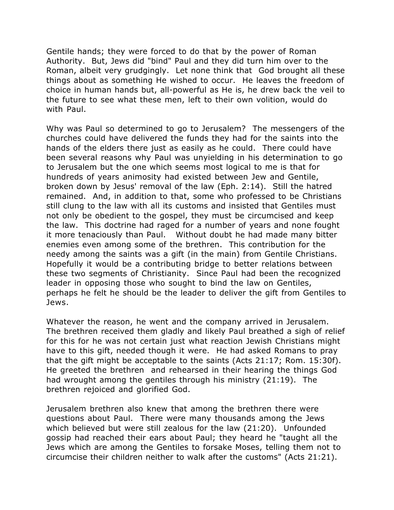Gentile hands; they were forced to do that by the power of Roman Authority. But, Jews did "bind" Paul and they did turn him over to the Roman, albeit very grudgingly. Let none think that God brought all these things about as something He wished to occur. He leaves the freedom of choice in human hands but, all-powerful as He is, he drew back the veil to the future to see what these men, left to their own volition, would do with Paul.

Why was Paul so determined to go to Jerusalem? The messengers of the churches could have delivered the funds they had for the saints into the hands of the elders there just as easily as he could. There could have been several reasons why Paul was unyielding in his determination to go to Jerusalem but the one which seems most logical to me is that for hundreds of years animosity had existed between Jew and Gentile, broken down by Jesus' removal of the law (Eph. 2:14). Still the hatred remained. And, in addition to that, some who professed to be Christians still clung to the law with all its customs and insisted that Gentiles must not only be obedient to the gospel, they must be circumcised and keep the law. This doctrine had raged for a number of years and none fought it more tenaciously than Paul. Without doubt he had made many bitter enemies even among some of the brethren. This contribution for the needy among the saints was a gift (in the main) from Gentile Christians. Hopefully it would be a contributing bridge to better relations between these two segments of Christianity. Since Paul had been the recognized leader in opposing those who sought to bind the law on Gentiles, perhaps he felt he should be the leader to deliver the gift from Gentiles to Jews.

Whatever the reason, he went and the company arrived in Jerusalem. The brethren received them gladly and likely Paul breathed a sigh of relief for this for he was not certain just what reaction Jewish Christians might have to this gift, needed though it were. He had asked Romans to pray that the gift might be acceptable to the saints (Acts 21:17; Rom. 15:30f). He greeted the brethren and rehearsed in their hearing the things God had wrought among the gentiles through his ministry (21:19). The brethren rejoiced and glorified God.

Jerusalem brethren also knew that among the brethren there were questions about Paul. There were many thousands among the Jews which believed but were still zealous for the law (21:20). Unfounded gossip had reached their ears about Paul; they heard he "taught all the Jews which are among the Gentiles to forsake Moses, telling them not to circumcise their children neither to walk after the customs" (Acts 21:21).